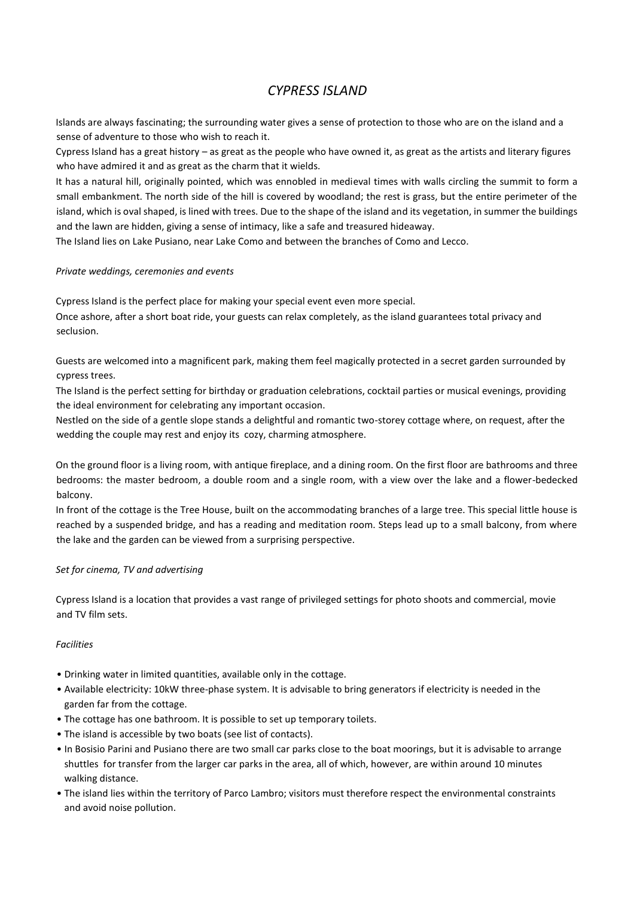# *CYPRESS ISLAND*

Islands are always fascinating; the surrounding water gives a sense of protection to those who are on the island and a sense of adventure to those who wish to reach it.

Cypress Island has a great history – as great as the people who have owned it, as great as the artists and literary figures who have admired it and as great as the charm that it wields.

It has a natural hill, originally pointed, which was ennobled in medieval times with walls circling the summit to form a small embankment. The north side of the hill is covered by woodland; the rest is grass, but the entire perimeter of the island, which is oval shaped, is lined with trees. Due to the shape of the island and its vegetation, in summer the buildings and the lawn are hidden, giving a sense of intimacy, like a safe and treasured hideaway.

The Island lies on Lake Pusiano, near Lake Como and between the branches of Como and Lecco.

## *Private weddings, ceremonies and events*

Cypress Island is the perfect place for making your special event even more special. Once ashore, after a short boat ride, your guests can relax completely, as the island guarantees total privacy and seclusion.

Guests are welcomed into a magnificent park, making them feel magically protected in a secret garden surrounded by cypress trees.

The Island is the perfect setting for birthday or graduation celebrations, cocktail parties or musical evenings, providing the ideal environment for celebrating any important occasion.

Nestled on the side of a gentle slope stands a delightful and romantic two-storey cottage where, on request, after the wedding the couple may rest and enjoy its cozy, charming atmosphere.

On the ground floor is a living room, with antique fireplace, and a dining room. On the first floor are bathrooms and three bedrooms: the master bedroom, a double room and a single room, with a view over the lake and a flower-bedecked balcony.

In front of the cottage is the Tree House, built on the accommodating branches of a large tree. This special little house is reached by a suspended bridge, and has a reading and meditation room. Steps lead up to a small balcony, from where the lake and the garden can be viewed from a surprising perspective.

### *Set for cinema, TV and advertising*

Cypress Island is a location that provides a vast range of privileged settings for photo shoots and commercial, movie and TV film sets.

### *Facilities*

- Drinking water in limited quantities, available only in the cottage.
- Available electricity: 10kW three-phase system. It is advisable to bring generators if electricity is needed in the garden far from the cottage.
- The cottage has one bathroom. It is possible to set up temporary toilets.
- The island is accessible by two boats (see list of contacts).
- In Bosisio Parini and Pusiano there are two small car parks close to the boat moorings, but it is advisable to arrange shuttles for transfer from the larger car parks in the area, all of which, however, are within around 10 minutes walking distance.
- The island lies within the territory of Parco Lambro; visitors must therefore respect the environmental constraints and avoid noise pollution.